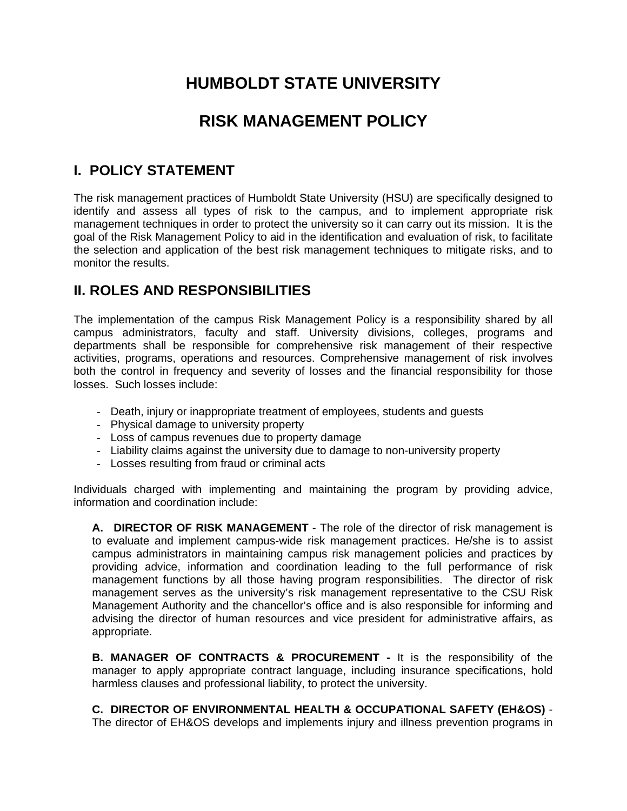# **HUMBOLDT STATE UNIVERSITY**

## **RISK MANAGEMENT POLICY**

## **I. POLICY STATEMENT**

The risk management practices of Humboldt State University (HSU) are specifically designed to identify and assess all types of risk to the campus, and to implement appropriate risk management techniques in order to protect the university so it can carry out its mission. It is the goal of the Risk Management Policy to aid in the identification and evaluation of risk, to facilitate the selection and application of the best risk management techniques to mitigate risks, and to monitor the results.

### **II. ROLES AND RESPONSIBILITIES**

The implementation of the campus Risk Management Policy is a responsibility shared by all campus administrators, faculty and staff. University divisions, colleges, programs and departments shall be responsible for comprehensive risk management of their respective activities, programs, operations and resources. Comprehensive management of risk involves both the control in frequency and severity of losses and the financial responsibility for those losses. Such losses include:

- Death, injury or inappropriate treatment of employees, students and guests
- Physical damage to university property
- Loss of campus revenues due to property damage
- Liability claims against the university due to damage to non-university property
- Losses resulting from fraud or criminal acts

Individuals charged with implementing and maintaining the program by providing advice, information and coordination include:

**A. DIRECTOR OF RISK MANAGEMENT** - The role of the director of risk management is to evaluate and implement campus-wide risk management practices. He/she is to assist campus administrators in maintaining campus risk management policies and practices by providing advice, information and coordination leading to the full performance of risk management functions by all those having program responsibilities. The director of risk management serves as the university's risk management representative to the CSU Risk Management Authority and the chancellor's office and is also responsible for informing and advising the director of human resources and vice president for administrative affairs, as appropriate.

**B. MANAGER OF CONTRACTS & PROCUREMENT -** It is the responsibility of the manager to apply appropriate contract language, including insurance specifications, hold harmless clauses and professional liability, to protect the university.

**C. DIRECTOR OF ENVIRONMENTAL HEALTH & OCCUPATIONAL SAFETY (EH&OS)** - The director of EH&OS develops and implements injury and illness prevention programs in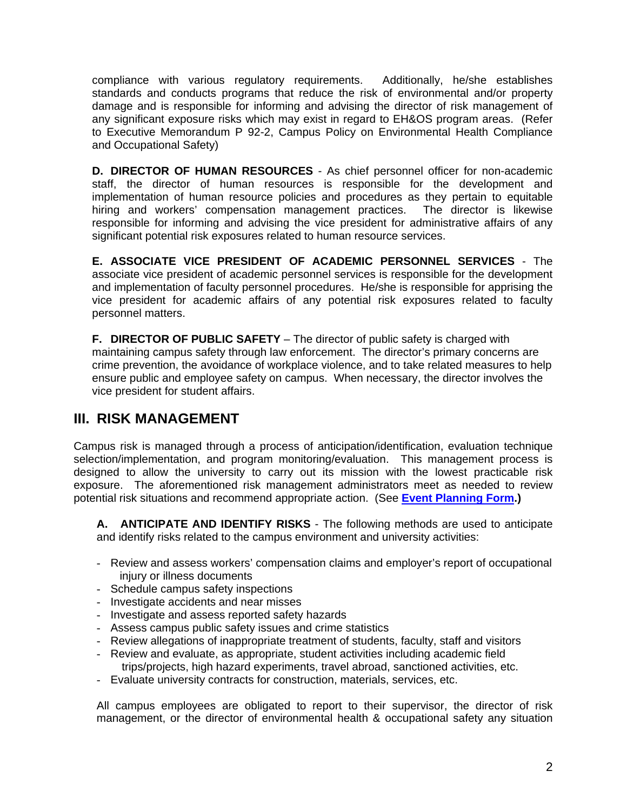compliance with various regulatory requirements. Additionally, he/she establishes standards and conducts programs that reduce the risk of environmental and/or property damage and is responsible for informing and advising the director of risk management of any significant exposure risks which may exist in regard to EH&OS program areas. (Refer to Executive Memorandum P 92-2, Campus Policy on Environmental Health Compliance and Occupational Safety)

**D. DIRECTOR OF HUMAN RESOURCES** - As chief personnel officer for non-academic staff, the director of human resources is responsible for the development and implementation of human resource policies and procedures as they pertain to equitable hiring and workers' compensation management practices. The director is likewise responsible for informing and advising the vice president for administrative affairs of any significant potential risk exposures related to human resource services.

**E. ASSOCIATE VICE PRESIDENT OF ACADEMIC PERSONNEL SERVICES** - The associate vice president of academic personnel services is responsible for the development and implementation of faculty personnel procedures. He/she is responsible for apprising the vice president for academic affairs of any potential risk exposures related to faculty personnel matters.

**F. DIRECTOR OF PUBLIC SAFETY** – The director of public safety is charged with maintaining campus safety through law enforcement. The director's primary concerns are crime prevention, the avoidance of workplace violence, and to take related measures to help ensure public and employee safety on campus. When necessary, the director involves the vice president for student affairs.

### **III. RISK MANAGEMENT**

Campus risk is managed through a process of anticipation/identification, evaluation technique selection/implementation, and program monitoring/evaluation. This management process is designed to allow the university to carry out its mission with the lowest practicable risk exposure. The aforementioned risk management administrators meet as needed to review potential risk situations and recommend appropriate action. (See **Event Planning Form.)**

**A. ANTICIPATE AND IDENTIFY RISKS** - The following methods are used to anticipate and identify risks related to the campus environment and university activities:

- Review and assess workers' compensation claims and employer's report of occupational injury or illness documents
- Schedule campus safety inspections
- Investigate accidents and near misses
- Investigate and assess reported safety hazards
- Assess campus public safety issues and crime statistics
- Review allegations of inappropriate treatment of students, faculty, staff and visitors
- Review and evaluate, as appropriate, student activities including academic field trips/projects, high hazard experiments, travel abroad, sanctioned activities, etc.
- Evaluate university contracts for construction, materials, services, etc.

All campus employees are obligated to report to their supervisor, the director of risk management, or the director of environmental health & occupational safety any situation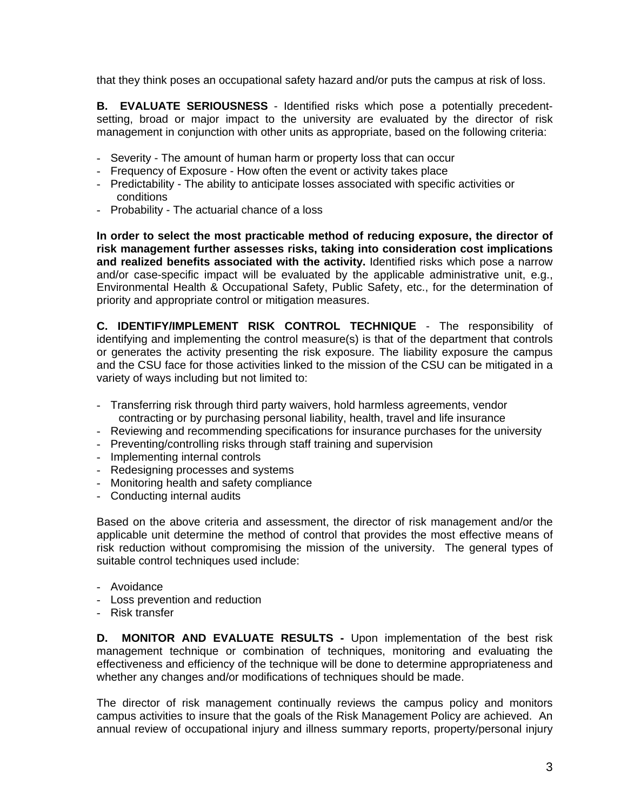that they think poses an occupational safety hazard and/or puts the campus at risk of loss.

**B. EVALUATE SERIOUSNESS** - Identified risks which pose a potentially precedentsetting, broad or major impact to the university are evaluated by the director of risk management in conjunction with other units as appropriate, based on the following criteria:

- Severity The amount of human harm or property loss that can occur
- Frequency of Exposure How often the event or activity takes place
- Predictability The ability to anticipate losses associated with specific activities or conditions
- Probability The actuarial chance of a loss

**In order to select the most practicable method of reducing exposure, the director of risk management further assesses risks, taking into consideration cost implications and realized benefits associated with the activity.** Identified risks which pose a narrow and/or case-specific impact will be evaluated by the applicable administrative unit, e.g., Environmental Health & Occupational Safety, Public Safety, etc., for the determination of priority and appropriate control or mitigation measures.

**C. IDENTIFY/IMPLEMENT RISK CONTROL TECHNIQUE** - The responsibility of identifying and implementing the control measure(s) is that of the department that controls or generates the activity presenting the risk exposure. The liability exposure the campus and the CSU face for those activities linked to the mission of the CSU can be mitigated in a variety of ways including but not limited to:

- Transferring risk through third party waivers, hold harmless agreements, vendor contracting or by purchasing personal liability, health, travel and life insurance
- Reviewing and recommending specifications for insurance purchases for the university
- Preventing/controlling risks through staff training and supervision
- Implementing internal controls
- Redesigning processes and systems
- Monitoring health and safety compliance
- Conducting internal audits

Based on the above criteria and assessment, the director of risk management and/or the applicable unit determine the method of control that provides the most effective means of risk reduction without compromising the mission of the university. The general types of suitable control techniques used include:

- Avoidance
- Loss prevention and reduction
- Risk transfer

**D. MONITOR AND EVALUATE RESULTS -** Upon implementation of the best risk management technique or combination of techniques, monitoring and evaluating the effectiveness and efficiency of the technique will be done to determine appropriateness and whether any changes and/or modifications of techniques should be made.

The director of risk management continually reviews the campus policy and monitors campus activities to insure that the goals of the Risk Management Policy are achieved. An annual review of occupational injury and illness summary reports, property/personal injury